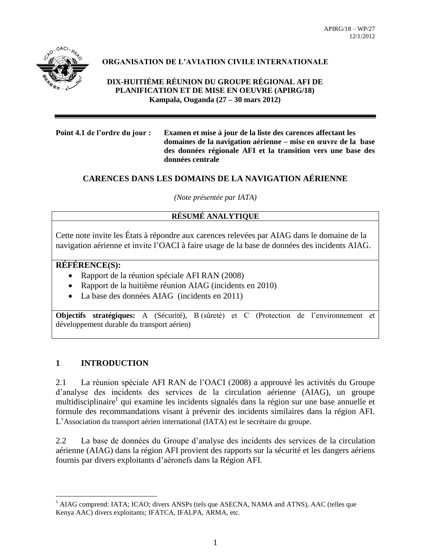

## **ORGANISATION DE L'AVIATION CIVILE INTERNATIONALE**

**DIX-HUITIÈME RÉUNION DU GROUPE RÉGIONAL AFI DE PLANIFICATION ET DE MISE EN OEUVRE (APIRG/18) Kampala, Ouganda (27 – 30 mars 2012)**

**Point 4.1 de l'ordre du jour : Examen et mise à jour de la liste des carences affectant les domaines de la navigation aérienne – mise en œuvre de la base des données régionale AFI et la transition vers une base des données centrale** 

## **CARENCES DANS LES DOMAINS DE LA NAVIGATION AÉRIENNE**

*(Note présentée par IATA)*

## **RÉSUMÉ ANALYTIQUE**

Cette note invite les États à répondre aux carences relevées par AIAG dans le domaine de la navigation aérienne et invite l'OACI à faire usage de la base de données des incidents AIAG.

### **RÉFÉRENCE(S):**

- Rapport de la réunion spéciale AFI RAN (2008)
- Rapport de la huitième réunion AIAG (incidents en 2010)
- La base des données AIAG (incidents en 2011)

**Objectifs stratégiques:** A (Sécurité), B (sûreté) et C (Protection de l'environnement et développement durable du transport aérien)

### **1 INTRODUCTION**

 $\overline{a}$ 

2.1 La réunion spéciale AFI RAN de l'OACI (2008) a approuvé les activités du Groupe d'analyse des incidents des services de la circulation aérienne (AIAG), un groupe multidisciplinaire<sup>1</sup> qui examine les incidents signalés dans la région sur une base annuelle et formule des recommandations visant à prévenir des incidents similaires dans la région AFI. L'Association du transport aérien international (IATA) est le secrétaire du groupe.

2.2 La base de données du Groupe d'analyse des incidents des services de la circulation aérienne (AIAG) dans la région AFI provient des rapports sur la sécurité et les dangers aériens fournis par divers exploitants d'aéronefs dans la Région AFI.

<sup>&</sup>lt;sup>1</sup> AIAG comprend: IATA; ICAO; divers ANSPs (tels que ASECNA, NAMA and ATNS), AAC (telles que Kenya AAC) divers exploitants; IFATCA, IFALPA, ARMA, etc.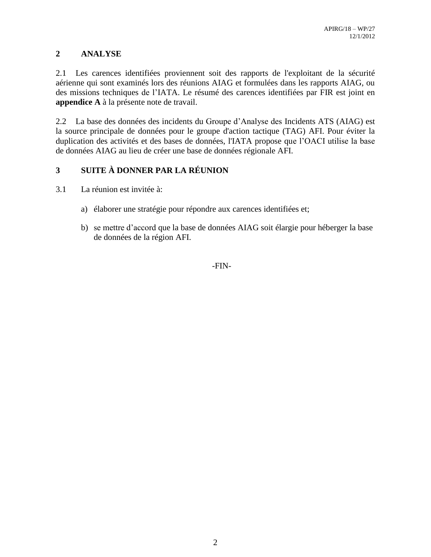## **2 ANALYSE**

2.1 Les carences identifiées proviennent soit des rapports de l'exploitant de la sécurité aérienne qui sont examinés lors des réunions AIAG et formulées dans les rapports AIAG, ou des missions techniques de l'IATA. Le résumé des carences identifiées par FIR est joint en **appendice A** à la présente note de travail.

2.2 La base des données des incidents du Groupe d'Analyse des Incidents ATS (AIAG) est la source principale de données pour le groupe d'action tactique (TAG) AFI. Pour éviter la duplication des activités et des bases de données, l'IATA propose que l'OACI utilise la base de données AIAG au lieu de créer une base de données régionale AFI.

## **3 SUITE À DONNER PAR LA RÉUNION**

- 3.1 La réunion est invitée à:
	- a) élaborer une stratégie pour répondre aux carences identifiées et;
	- b) se mettre d'accord que la base de données AIAG soit élargie pour héberger la base de données de la région AFI.

-FIN-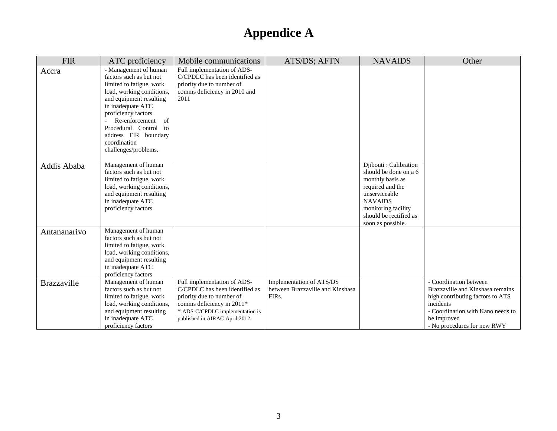| <b>FIR</b>         | ATC proficiency                                                                                                                                                                                                                                                                                              | Mobile communications                                                                                                                                                                        | ATS/DS; AFTN                                                                       | <b>NAVAIDS</b>                                                                                                                                                                                   | Other                                                                                                                                                                                          |
|--------------------|--------------------------------------------------------------------------------------------------------------------------------------------------------------------------------------------------------------------------------------------------------------------------------------------------------------|----------------------------------------------------------------------------------------------------------------------------------------------------------------------------------------------|------------------------------------------------------------------------------------|--------------------------------------------------------------------------------------------------------------------------------------------------------------------------------------------------|------------------------------------------------------------------------------------------------------------------------------------------------------------------------------------------------|
| Accra              | - Management of human<br>factors such as but not<br>limited to fatigue, work<br>load, working conditions,<br>and equipment resulting<br>in inadequate ATC<br>proficiency factors<br>Re-enforcement<br><sub>of</sub><br>Procedural Control to<br>address FIR boundary<br>coordination<br>challenges/problems. | Full implementation of ADS-<br>C/CPDLC has been identified as<br>priority due to number of<br>comms deficiency in 2010 and<br>2011                                                           |                                                                                    |                                                                                                                                                                                                  |                                                                                                                                                                                                |
| Addis Ababa        | Management of human<br>factors such as but not<br>limited to fatigue, work<br>load, working conditions,<br>and equipment resulting<br>in inadequate ATC<br>proficiency factors                                                                                                                               |                                                                                                                                                                                              |                                                                                    | Djibouti : Calibration<br>should be done on a 6<br>monthly basis as<br>required and the<br>unserviceable<br><b>NAVAIDS</b><br>monitoring facility<br>should be rectified as<br>soon as possible. |                                                                                                                                                                                                |
| Antananarivo       | Management of human<br>factors such as but not<br>limited to fatigue, work<br>load, working conditions,<br>and equipment resulting<br>in inadequate ATC<br>proficiency factors                                                                                                                               |                                                                                                                                                                                              |                                                                                    |                                                                                                                                                                                                  |                                                                                                                                                                                                |
| <b>Brazzaville</b> | Management of human<br>factors such as but not<br>limited to fatigue, work<br>load, working conditions,<br>and equipment resulting<br>in inadequate ATC<br>proficiency factors                                                                                                                               | Full implementation of ADS-<br>C/CPDLC has been identified as<br>priority due to number of<br>comms deficiency in 2011*<br>* ADS-C/CPDLC implementation is<br>published in AIRAC April 2012. | Implementation of ATS/DS<br>between Brazzaville and Kinshasa<br>FIR <sub>s</sub> . |                                                                                                                                                                                                  | - Coordination between<br>Brazzaville and Kinshasa remains<br>high contributing factors to ATS<br>incidents<br>- Coordination with Kano needs to<br>be improved<br>- No procedures for new RWY |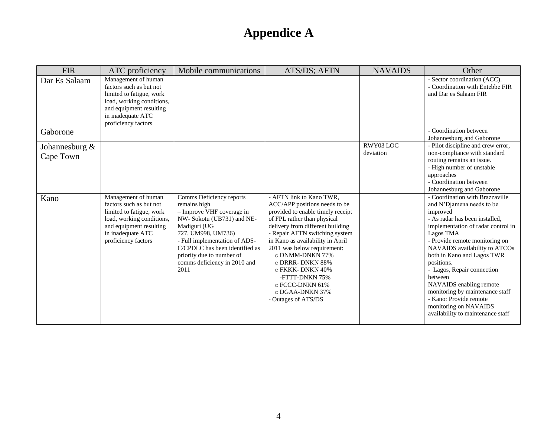| <b>FIR</b>                     | ATC proficiency                                                                                                                                                                | Mobile communications                                                                                                                                                                                                                                                            | ATS/DS; AFTN                                                                                                                                                                                                                                                                                                                                                                                                         | <b>NAVAIDS</b>         | Other                                                                                                                                                                                                                                                                                                                                                                                                                                                                       |
|--------------------------------|--------------------------------------------------------------------------------------------------------------------------------------------------------------------------------|----------------------------------------------------------------------------------------------------------------------------------------------------------------------------------------------------------------------------------------------------------------------------------|----------------------------------------------------------------------------------------------------------------------------------------------------------------------------------------------------------------------------------------------------------------------------------------------------------------------------------------------------------------------------------------------------------------------|------------------------|-----------------------------------------------------------------------------------------------------------------------------------------------------------------------------------------------------------------------------------------------------------------------------------------------------------------------------------------------------------------------------------------------------------------------------------------------------------------------------|
| Dar Es Salaam                  | Management of human<br>factors such as but not<br>limited to fatigue, work<br>load, working conditions,<br>and equipment resulting<br>in inadequate ATC<br>proficiency factors |                                                                                                                                                                                                                                                                                  |                                                                                                                                                                                                                                                                                                                                                                                                                      |                        | - Sector coordination (ACC).<br>- Coordination with Entebbe FIR<br>and Dar es Salaam FIR                                                                                                                                                                                                                                                                                                                                                                                    |
| Gaborone                       |                                                                                                                                                                                |                                                                                                                                                                                                                                                                                  |                                                                                                                                                                                                                                                                                                                                                                                                                      |                        | - Coordination between<br>Johannesburg and Gaborone                                                                                                                                                                                                                                                                                                                                                                                                                         |
| Johannesburg $\&$<br>Cape Town |                                                                                                                                                                                |                                                                                                                                                                                                                                                                                  |                                                                                                                                                                                                                                                                                                                                                                                                                      | RWY03 LOC<br>deviation | - Pilot discipline and crew error,<br>non-compliance with standard<br>routing remains an issue.<br>- High number of unstable<br>approaches<br>- Coordination between<br>Johannesburg and Gaborone                                                                                                                                                                                                                                                                           |
| Kano                           | Management of human<br>factors such as but not<br>limited to fatigue, work<br>load, working conditions,<br>and equipment resulting<br>in inadequate ATC<br>proficiency factors | Comms Deficiency reports<br>remains high<br>- Improve VHF coverage in<br>NW-Sokotu (UB731) and NE-<br>Madiguri (UG<br>727, UM998, UM736)<br>- Full implementation of ADS-<br>C/CPDLC has been identified as<br>priority due to number of<br>comms deficiency in 2010 and<br>2011 | - AFTN link to Kano TWR,<br>ACC/APP positions needs to be<br>provided to enable timely receipt<br>of FPL rather than physical<br>delivery from different building<br>- Repair AFTN switching system<br>in Kano as availability in April<br>2011 was below requirement:<br>o DNMM-DNKN 77%<br>o DRRR-DNKN 88%<br>o FKKK-DNKN 40%<br>-FTTT-DNKN 75%<br>o FCCC-DNKN 61%<br>$\circ$ DGAA-DNKN 37%<br>- Outages of ATS/DS |                        | - Coordination with Brazzaville<br>and N'Djamena needs to be<br>improved<br>- As radar has been installed,<br>implementation of radar control in<br>Lagos TMA<br>- Provide remote monitoring on<br>NAVAIDS availability to ATCOs<br>both in Kano and Lagos TWR<br>positions.<br>- Lagos, Repair connection<br>between<br>NAVAIDS enabling remote<br>monitoring by maintenance staff<br>- Kano: Provide remote<br>monitoring on NAVAIDS<br>availability to maintenance staff |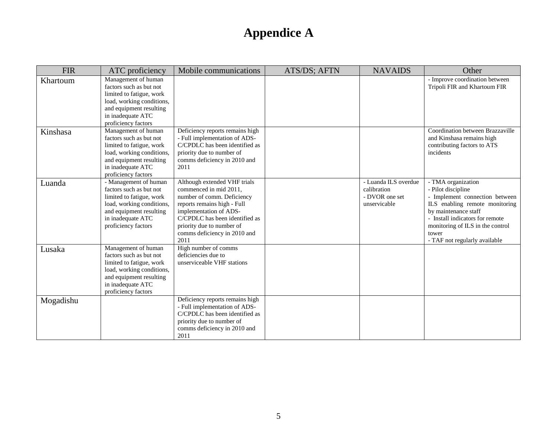| <b>FIR</b> | ATC proficiency                                                                                                                                                                  | Mobile communications                                                                                                                                                                                                                                | ATS/DS; AFTN | <b>NAVAIDS</b>                                                        | Other                                                                                                                                                                                                                                                 |
|------------|----------------------------------------------------------------------------------------------------------------------------------------------------------------------------------|------------------------------------------------------------------------------------------------------------------------------------------------------------------------------------------------------------------------------------------------------|--------------|-----------------------------------------------------------------------|-------------------------------------------------------------------------------------------------------------------------------------------------------------------------------------------------------------------------------------------------------|
| Khartoum   | Management of human<br>factors such as but not<br>limited to fatigue, work<br>load, working conditions,<br>and equipment resulting<br>in inadequate ATC<br>proficiency factors   |                                                                                                                                                                                                                                                      |              |                                                                       | - Improve coordination between<br>Tripoli FIR and Khartoum FIR                                                                                                                                                                                        |
| Kinshasa   | Management of human<br>factors such as but not<br>limited to fatigue, work<br>load, working conditions,<br>and equipment resulting<br>in inadequate ATC<br>proficiency factors   | Deficiency reports remains high<br>- Full implementation of ADS-<br>C/CPDLC has been identified as<br>priority due to number of<br>comms deficiency in 2010 and<br>2011                                                                              |              |                                                                       | Coordination between Brazzaville<br>and Kinshasa remains high<br>contributing factors to ATS<br>incidents                                                                                                                                             |
| Luanda     | - Management of human<br>factors such as but not<br>limited to fatigue, work<br>load, working conditions,<br>and equipment resulting<br>in inadequate ATC<br>proficiency factors | Although extended VHF trials<br>commenced in mid 2011,<br>number of comm. Deficiency<br>reports remains high - Full<br>implementation of ADS-<br>C/CPDLC has been identified as<br>priority due to number of<br>comms deficiency in 2010 and<br>2011 |              | - Luanda ILS overdue<br>calibration<br>- DVOR one set<br>unservicable | - TMA organization<br>- Pilot discipline<br>- Implement connection between<br>ILS enabling remote monitoring<br>by maintenance staff<br>- Install indicators for remote<br>monitoring of ILS in the control<br>tower<br>- TAF not regularly available |
| Lusaka     | Management of human<br>factors such as but not<br>limited to fatigue, work<br>load, working conditions,<br>and equipment resulting<br>in inadequate ATC<br>proficiency factors   | High number of comms<br>deficiencies due to<br>unserviceable VHF stations                                                                                                                                                                            |              |                                                                       |                                                                                                                                                                                                                                                       |
| Mogadishu  |                                                                                                                                                                                  | Deficiency reports remains high<br>- Full implementation of ADS-<br>C/CPDLC has been identified as<br>priority due to number of<br>comms deficiency in 2010 and<br>2011                                                                              |              |                                                                       |                                                                                                                                                                                                                                                       |